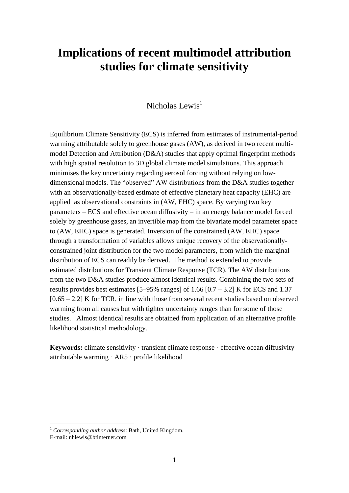# **Implications of recent multimodel attribution studies for climate sensitivity**

### Nicholas Lewis<sup>1</sup>

Equilibrium Climate Sensitivity (ECS) is inferred from estimates of instrumental-period warming attributable solely to greenhouse gases (AW), as derived in two recent multimodel Detection and Attribution (D&A) studies that apply optimal fingerprint methods with high spatial resolution to 3D global climate model simulations. This approach minimises the key uncertainty regarding aerosol forcing without relying on lowdimensional models. The "observed" AW distributions from the D&A studies together with an observationally-based estimate of effective planetary heat capacity (EHC) are applied as observational constraints in (AW, EHC) space. By varying two key parameters – ECS and effective ocean diffusivity – in an energy balance model forced solely by greenhouse gases, an invertible map from the bivariate model parameter space to (AW, EHC) space is generated. Inversion of the constrained (AW, EHC) space through a transformation of variables allows unique recovery of the observationallyconstrained joint distribution for the two model parameters, from which the marginal distribution of ECS can readily be derived. The method is extended to provide estimated distributions for Transient Climate Response (TCR). The AW distributions from the two D&A studies produce almost identical results. Combining the two sets of results provides best estimates  $[5-95\%$  ranges] of 1.66  $[0.7 - 3.2]$  K for ECS and 1.37  $[0.65 - 2.2]$  K for TCR, in line with those from several recent studies based on observed warming from all causes but with tighter uncertainty ranges than for some of those studies. Almost identical results are obtained from application of an alternative profile likelihood statistical methodology.

**Keywords:** climate sensitivity · transient climate response · effective ocean diffusivity attributable warming · AR5 · profile likelihood

1

<sup>1</sup> *Corresponding author address*: Bath, United Kingdom.

E-mail: [nhlewis@btinternet.com](mailto:publications@ametsoc.org)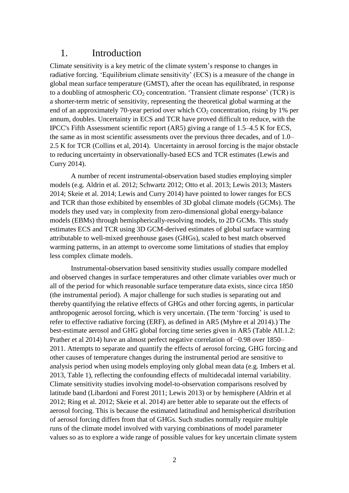### 1. Introduction

Climate sensitivity is a key metric of the climate system's response to changes in radiative forcing. 'Equilibrium climate sensitivity' (ECS) is a measure of the change in global mean surface temperature (GMST), after the ocean has equilibrated, in response to a doubling of atmospheric  $CO_2$  concentration. 'Transient climate response' (TCR) is a shorter-term metric of sensitivity, representing the theoretical global warming at the end of an approximately 70-year period over which  $CO<sub>2</sub>$  concentration, rising by 1% per annum, doubles. Uncertainty in ECS and TCR have proved difficult to reduce, with the IPCC's Fifth Assessment scientific report (AR5) giving a range of 1.5–4.5 K for ECS, the same as in most scientific assessments over the previous three decades, and of 1.0– 2.5 K for TCR (Collins et al, 2014). Uncertainty in aerosol forcing is the major obstacle to reducing uncertainty in observationally-based ECS and TCR estimates (Lewis and Curry 2014).

A number of recent instrumental-observation based studies employing simpler models (e.g. Aldrin et al. 2012; Schwartz 2012; Otto et al. 2013; Lewis 2013; Masters 2014; Skeie et al. 2014; Lewis and Curry 2014) have pointed to lower ranges for ECS and TCR than those exhibited by ensembles of 3D global climate models (GCMs). The models they used vary in complexity from zero-dimensional global energy-balance models (EBMs) through hemispherically-resolving models, to 2D GCMs. This study estimates ECS and TCR using 3D GCM-derived estimates of global surface warming attributable to well-mixed greenhouse gases (GHGs), scaled to best match observed warming patterns, in an attempt to overcome some limitations of studies that employ less complex climate models.

Instrumental-observation based sensitivity studies usually compare modelled and observed changes in surface temperatures and other climate variables over much or all of the period for which reasonable surface temperature data exists, since circa 1850 (the instrumental period). A major challenge for such studies is separating out and thereby quantifying the relative effects of GHGs and other forcing agents, in particular anthropogenic aerosol forcing, which is very uncertain. (The term 'forcing' is used to refer to effective radiative forcing (ERF), as defined in AR5 (Myhre et al 2014).) The best-estimate aerosol and GHG global forcing time series given in AR5 (Table AII.1.2: Prather et al 2014) have an almost perfect negative correlation of −0.98 over 1850– 2011. Attempts to separate and quantify the effects of aerosol forcing, GHG forcing and other causes of temperature changes during the instrumental period are sensitive to analysis period when using models employing only global mean data (e.g. Imbers et al. 2013, Table 1), reflecting the confounding effects of multidecadal internal variability. Climate sensitivity studies involving model-to-observation comparisons resolved by latitude band (Libardoni and Forest 2011; Lewis 2013) or by hemisphere (Aldrin et al 2012; Ring et al. 2012; Skeie et al. 2014) are better able to separate out the effects of aerosol forcing. This is because the estimated latitudinal and hemispherical distribution of aerosol forcing differs from that of GHGs. Such studies normally require multiple runs of the climate model involved with varying combinations of model parameter values so as to explore a wide range of possible values for key uncertain climate system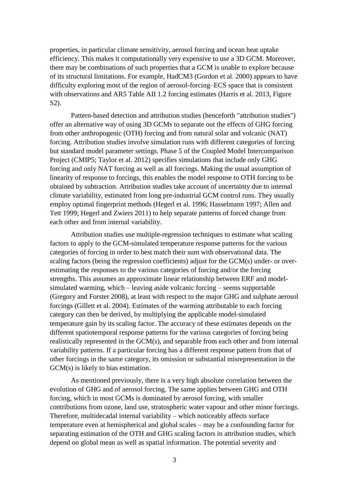properties, in particular climate sensitivity, aerosol forcing and ocean heat uptake efficiency. This makes it computationally very expensive to use a 3D GCM. Moreover, there may be combinations of such properties that a GCM is unable to explore because of its structural limitations. For example, HadCM3 (Gordon et al. 2000) appears to have difficulty exploring most of the region of aerosol-forcing–ECS space that is consistent with observations and AR5 Table AII 1.2 forcing estimates (Harris et al. 2013, Figure S2).

Pattern-based detection and attribution studies (henceforth "attribution studies") offer an alternative way of using 3D GCMs to separate out the effects of GHG forcing from other anthropogenic (OTH) forcing and from natural solar and volcanic (NAT) forcing. Attribution studies involve simulation runs with different categories of forcing but standard model parameter settings. Phase 5 of the Coupled Model Intercomparison Project (CMIP5; Taylor et al. 2012) specifies simulations that include only GHG forcing and only NAT forcing as well as all forcings. Making the usual assumption of linearity of response to forcings, this enables the model response to OTH forcing to be obtained by subtraction. Attribution studies take account of uncertainty due to internal climate variability, estimated from long pre-industrial GCM control runs. They usually employ optimal fingerprint methods (Hegerl et al. 1996; Hasselmann 1997; Allen and Tett 1999; Hegerl and Zwiers 2011) to help separate patterns of forced change from each other and from internal variability.

Attribution studies use multiple-regression techniques to estimate what scaling factors to apply to the GCM-simulated temperature response patterns for the various categories of forcing in order to best match their sum with observational data. The scaling factors (being the regression coefficients) adjust for the GCM(s) under- or overestimating the responses to the various categories of forcing and/or the forcing strengths. This assumes an approximate linear relationship between ERF and modelsimulated warming, which – leaving aside volcanic forcing – seems supportable (Gregory and Forster 2008), at least with respect to the major GHG and sulphate aerosol forcings (Gillett et al. 2004). Estimates of the warming attributable to each forcing category can then be derived, by multiplying the applicable model-simulated temperature gain by its scaling factor. The accuracy of these estimates depends on the different spatiotemporal response patterns for the various categories of forcing being realistically represented in the GCM(s), and separable from each other and from internal variability patterns. If a particular forcing has a different response pattern from that of other forcings in the same category, its omission or substantial misrepresentation in the GCM(s) is likely to bias estimation.

As mentioned previously, there is a very high absolute correlation between the evolution of GHG and of aerosol forcing. The same applies between GHG and OTH forcing, which in most GCMs is dominated by aerosol forcing, with smaller contributions from ozone, land use, stratospheric water vapour and other minor forcings. Therefore, multidecadal internal variability – which noticeably affects surface temperature even at hemispherical and global scales – may be a confounding factor for separating estimation of the OTH and GHG scaling factors in attribution studies, which depend on global mean as well as spatial information. The potential severity and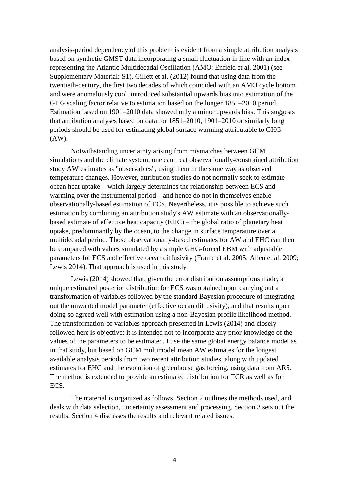analysis-period dependency of this problem is evident from a simple attribution analysis based on synthetic GMST data incorporating a small fluctuation in line with an index representing the Atlantic Multidecadal Oscillation (AMO: Enfield et al. 2001) (see Supplementary Material: S1). Gillett et al. (2012) found that using data from the twentieth-century, the first two decades of which coincided with an AMO cycle bottom and were anomalously cool, introduced substantial upwards bias into estimation of the GHG scaling factor relative to estimation based on the longer 1851–2010 period. Estimation based on 1901–2010 data showed only a minor upwards bias. This suggests that attribution analyses based on data for 1851–2010, 1901–2010 or similarly long periods should be used for estimating global surface warming attributable to GHG (AW).

Notwithstanding uncertainty arising from mismatches between GCM simulations and the climate system, one can treat observationally-constrained attribution study AW estimates as "observables", using them in the same way as observed temperature changes. However, attribution studies do not normally seek to estimate ocean heat uptake – which largely determines the relationship between ECS and warming over the instrumental period – and hence do not in themselves enable observationally-based estimation of ECS. Nevertheless, it is possible to achieve such estimation by combining an attribution study's AW estimate with an observationallybased estimate of effective heat capacity (EHC) – the global ratio of planetary heat uptake, predominantly by the ocean, to the change in surface temperature over a multidecadal period. Those observationally-based estimates for AW and EHC can then be compared with values simulated by a simple GHG-forced EBM with adjustable parameters for ECS and effective ocean diffusivity (Frame et al. 2005; Allen et al. 2009; Lewis 2014). That approach is used in this study.

Lewis (2014) showed that, given the error distribution assumptions made, a unique estimated posterior distribution for ECS was obtained upon carrying out a transformation of variables followed by the standard Bayesian procedure of integrating out the unwanted model parameter (effective ocean diffusivity), and that results upon doing so agreed well with estimation using a non-Bayesian profile likelihood method. The transformation-of-variables approach presented in Lewis (2014) and closely followed here is objective: it is intended not to incorporate any prior knowledge of the values of the parameters to be estimated. I use the same global energy balance model as in that study, but based on GCM multimodel mean AW estimates for the longest available analysis periods from two recent attribution studies, along with updated estimates for EHC and the evolution of greenhouse gas forcing, using data from AR5. The method is extended to provide an estimated distribution for TCR as well as for ECS.

The material is organized as follows. Section 2 outlines the methods used, and deals with data selection, uncertainty assessment and processing. Section 3 sets out the results. Section 4 discusses the results and relevant related issues.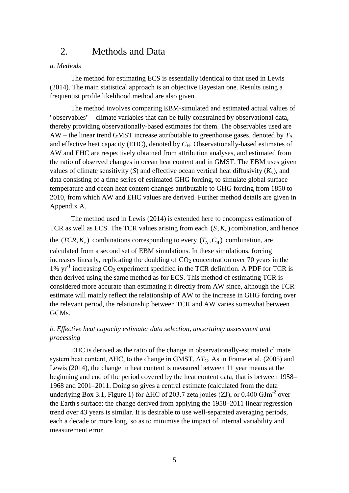### 2. Methods and Data

#### *a. Methods*

The method for estimating ECS is essentially identical to that used in Lewis (2014). The main statistical approach is an objective Bayesian one. Results using a frequentist profile likelihood method are also given.

The method involves comparing EBM-simulated and estimated actual values of "observables" – climate variables that can be fully constrained by observational data, thereby providing observationally-based estimates for them. The observables used are  $AW$  – the linear trend GMST increase attributable to greenhouse gases, denoted by  $T_{A}$ , and effective heat capacity (EHC), denoted by  $C_H$ . Observationally-based estimates of AW and EHC are respectively obtained from attribution analyses, and estimated from the ratio of observed changes in ocean heat content and in GMST. The EBM uses given values of climate sensitivity (*S*) and effective ocean vertical heat diffusivity  $(K_v)$ , and data consisting of a time series of estimated GHG forcing, to simulate global surface temperature and ocean heat content changes attributable to GHG forcing from 1850 to 2010, from which AW and EHC values are derived. Further method details are given in Appendix A.

The method used in Lewis (2014) is extended here to encompass estimation of TCR as well as ECS. The TCR values arising from each  $(S, K_v)$  combination, and hence the  $(TCR, K_v)$  combinations corresponding to every  $(T_A, C_H)$  combination, are calculated from a second set of EBM simulations. In these simulations, forcing increases linearly, replicating the doubling of  $CO<sub>2</sub>$  concentration over 70 years in the 1%  $yr^{-1}$  increasing  $CO_2$  experiment specified in the TCR definition. A PDF for TCR is then derived using the same method as for ECS. This method of estimating TCR is considered more accurate than estimating it directly from AW since, although the TCR estimate will mainly reflect the relationship of AW to the increase in GHG forcing over the relevant period, the relationship between TCR and AW varies somewhat between GCMs.

#### *b. Effective heat capacity estimate: data selection, uncertainty assessment and processing*

EHC is derived as the ratio of the change in observationally-estimated climate system heat content,  $\Delta$ HC, to the change in GMST,  $\Delta T_G$ . As in Frame et al. (2005) and Lewis (2014), the change in heat content is measured between 11 year means at the beginning and end of the period covered by the heat content data, that is between 1958– 1968 and 2001–2011. Doing so gives a central estimate (calculated from the data underlying Box 3.1, Figure 1) for  $\triangle$ HC of 203.7 zeta joules (ZJ), or 0.400 GJm<sup>-2</sup> over the Earth's surface; the change derived from applying the 1958–2011 linear regression trend over 43 years is similar. It is desirable to use well-separated averaging periods, each a decade or more long, so as to minimise the impact of internal variability and measurement error.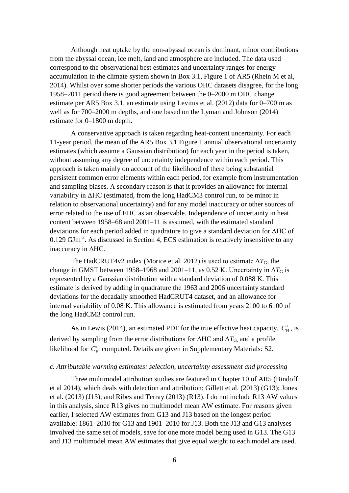Although heat uptake by the non-abyssal ocean is dominant, minor contributions from the abyssal ocean, ice melt, land and atmosphere are included. The data used correspond to the observational best estimates and uncertainty ranges for energy accumulation in the climate system shown in Box 3.1, Figure 1 of AR5 (Rhein M et al, 2014). Whilst over some shorter periods the various OHC datasets disagree, for the long 1958–2011 period there is good agreement between the 0–2000 m OHC change estimate per AR5 Box 3.1, an estimate using Levitus et al. (2012) data for 0–700 m as well as for 700–2000 m depths, and one based on the Lyman and Johnson (2014) estimate for 0–1800 m depth.

A conservative approach is taken regarding heat-content uncertainty. For each 11-year period, the mean of the AR5 Box 3.1 Figure 1 annual observational uncertainty estimates (which assume a Gaussian distribution) for each year in the period is taken, without assuming any degree of uncertainty independence within each period. This approach is taken mainly on account of the likelihood of there being substantial persistent common error elements within each period, for example from instrumentation and sampling biases. A secondary reason is that it provides an allowance for internal variability in ΔHC (estimated, from the long HadCM3 control run, to be minor in relation to observational uncertainty) and for any model inaccuracy or other sources of error related to the use of EHC as an observable. Independence of uncertainty in heat content between 1958–68 and 2001–11 is assumed, with the estimated standard deviations for each period added in quadrature to give a standard deviation for ΔHC of  $0.129$  GJm<sup>-2</sup>. As discussed in Section 4, ECS estimation is relatively insensitive to any inaccuracy in ΔHC.

The HadCRUT4v2 index (Morice et al. 2012) is used to estimate  $\Delta T_G$ , the change in GMST between 1958–1968 and 2001–11, as 0.52 K. Uncertainty in  $\Delta T_G$  is represented by a Gaussian distribution with a standard deviation of 0.088 K. This estimate is derived by adding in quadrature the 1963 and 2006 uncertainty standard deviations for the decadally smoothed HadCRUT4 dataset, and an allowance for internal variability of 0.08 K. This allowance is estimated from years 2100 to 6100 of the long HadCM3 control run.

As in Lewis (2014), an estimated PDF for the true effective heat capacity,  $C_H^t$ , is derived by sampling from the error distributions for  $\Delta H C$  and  $\Delta T_{G}$  and a profile likelihood for  $C_H^t$  computed. Details are given in Supplementary Materials: S2.

#### *c. Attributable warming estimates: selection, uncertainty assessment and processing*

Three multimodel attribution studies are featured in Chapter 10 of AR5 (Bindoff et al 2014), which deals with detection and attribution: Gillett et al. (2013) (G13); Jones et al. (2013) (J13); and Ribes and Terray (2013) (R13). I do not include R13 AW values in this analysis, since R13 gives no multimodel mean AW estimate. For reasons given earlier, I selected AW estimates from G13 and J13 based on the longest period available: 1861–2010 for G13 and 1901–2010 for J13. Both the J13 and G13 analyses involved the same set of models, save for one more model being used in G13. The G13 and J13 multimodel mean AW estimates that give equal weight to each model are used.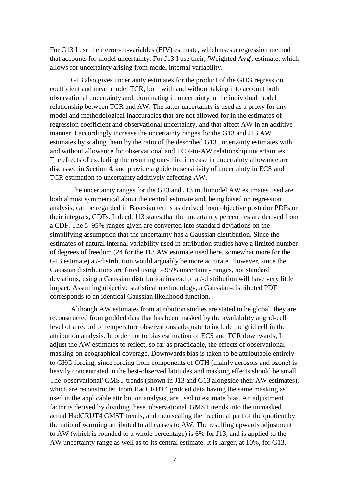For G13 I use their error-in-variables (EIV) estimate, which uses a regression method that accounts for model uncertainty. For J13 I use their, 'Weighted Avg', estimate, which allows for uncertainty arising from model internal variability.

G13 also gives uncertainty estimates for the product of the GHG regression coefficient and mean model TCR, both with and without taking into account both observational uncertainty and, dominating it, uncertainty in the individual model relationship between TCR and AW. The latter uncertainty is used as a proxy for any model and methodological inaccuracies that are not allowed for in the estimates of regression coefficient and observational uncertainty, and that affect AW in an additive manner. I accordingly increase the uncertainty ranges for the G13 and J13 AW estimates by scaling them by the ratio of the described G13 uncertainty estimates with and without allowance for observational and TCR-to-AW relationship uncertainties. The effects of excluding the resulting one-third increase in uncertainty allowance are discussed in Section 4, and provide a guide to sensitivity of uncertainty in ECS and TCR estimation to uncertainty additively affecting AW.

The uncertainty ranges for the G13 and J13 multimodel AW estimates used are both almost symmetrical about the central estimate and, being based on regression analysis, can be regarded in Bayesian terms as derived from objective posterior PDFs or their integrals, CDFs. Indeed, J13 states that the uncertainty percentiles are derived from a CDF. The 5–95% ranges given are converted into standard deviations on the simplifying assumption that the uncertainty has a Gaussian distribution. Since the estimates of natural internal variability used in attribution studies have a limited number of degrees of freedom (24 for the J13 AW estimate used here, somewhat more for the G13 estimate) a *t*-distribution would arguably be more accurate. However, since the Gaussian distributions are fitted using 5–95% uncertainty ranges, not standard deviations, using a Gaussian distribution instead of a *t*-distribution will have very little impact. Assuming objective statistical methodology, a Gaussian-distributed PDF corresponds to an identical Gaussian likelihood function.

Although AW estimates from attribution studies are stated to be global, they are reconstructed from gridded data that has been masked by the availability at grid-cell level of a record of temperature observations adequate to include the grid cell in the attribution analysis. In order not to bias estimation of ECS and TCR downwards, I adjust the AW estimates to reflect, so far as practicable, the effects of observational masking on geographical coverage. Downwards bias is taken to be attributable entirely to GHG forcing, since forcing from components of OTH (mainly aerosols and ozone) is heavily concentrated in the best-observed latitudes and masking effects should be small. The 'observational' GMST trends (shown in J13 and G13 alongside their AW estimates), which are reconstructed from HadCRUT4 gridded data having the same masking as used in the applicable attribution analysis, are used to estimate bias. An adjustment factor is derived by dividing these 'observational' GMST trends into the unmasked actual HadCRUT4 GMST trends, and then scaling the fractional part of the quotient by the ratio of warming attributed to all causes to AW. The resulting upwards adjustment to AW (which is rounded to a whole percentage) is 6% for J13, and is applied to the AW uncertainty range as well as to its central estimate. It is larger, at 10%, for G13,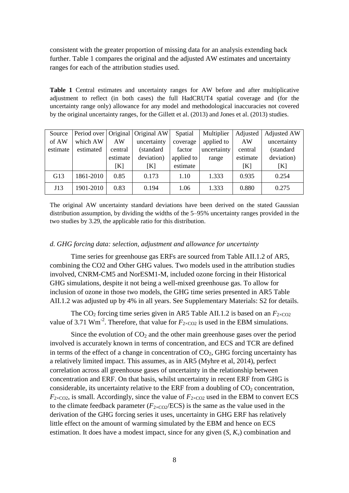consistent with the greater proportion of missing data for an analysis extending back further. Table 1 compares the original and the adjusted AW estimates and uncertainty ranges for each of the attribution studies used.

**Table 1** Central estimates and uncertainty ranges for AW before and after multiplicative adjustment to reflect (in both cases) the full HadCRUT4 spatial coverage and (for the uncertainty range only) allowance for any model and methodological inaccuracies not covered by the original uncertainty ranges, for the Gillett et al. (2013) and Jones et al. (2013) studies.

| Source   | Period over |          | Original Original AW | Spatial    | Multiplier  | Adjusted | <b>Adjusted AW</b> |
|----------|-------------|----------|----------------------|------------|-------------|----------|--------------------|
| of AW    | which AW    | AW       | uncertainty          | coverage   | applied to  | AW       | uncertainty        |
| estimate | estimated   | central  | (standard            | factor     | uncertainty | central  | (standard          |
|          |             | estimate | deviation)           | applied to | range       | estimate | deviation)         |
|          |             | [K]      | [K]                  | estimate   |             | [K]      | [K]                |
| G13      | 1861-2010   | 0.85     | 0.173                | 1.10       | 1.333       | 0.935    | 0.254              |
| J13      | 1901-2010   | 0.83     | 0.194                | 1.06       | 1.333       | 0.880    | 0.275              |

The original AW uncertainty standard deviations have been derived on the stated Gaussian distribution assumption, by dividing the widths of the 5–95% uncertainty ranges provided in the two studies by 3.29, the applicable ratio for this distribution.

#### *d. GHG forcing data: selection, adjustment and allowance for uncertainty*

Time series for greenhouse gas ERFs are sourced from Table AII.1.2 of AR5, combining the CO2 and Other GHG values. Two models used in the attribution studies involved, CNRM-CM5 and NorESM1-M, included ozone forcing in their Historical GHG simulations, despite it not being a well-mixed greenhouse gas. To allow for inclusion of ozone in those two models, the GHG time series presented in AR5 Table AII.1.2 was adjusted up by 4% in all years. See Supplementary Materials: S2 for details.

The CO<sub>2</sub> forcing time series given in AR5 Table AII.1.2 is based on an  $F_{2\times CO2}$ value of 3.71 Wm<sup>-2</sup>. Therefore, that value for  $F_{2\times CO2}$  is used in the EBM simulations.

Since the evolution of  $CO<sub>2</sub>$  and the other main greenhouse gases over the period involved is accurately known in terms of concentration, and ECS and TCR are defined in terms of the effect of a change in concentration of  $CO<sub>2</sub>$ , GHG forcing uncertainty has a relatively limited impact. This assumes, as in AR5 (Myhre et al, 2014), perfect correlation across all greenhouse gases of uncertainty in the relationship between concentration and ERF. On that basis, whilst uncertainty in recent ERF from GHG is considerable, its uncertainty relative to the ERF from a doubling of  $CO<sub>2</sub>$  concentration,  $F_{2\times CO2}$ , is small. Accordingly, since the value of  $F_{2\times CO2}$  used in the EBM to convert ECS to the climate feedback parameter  $(F_{2\times CO2}/\text{ECS})$  is the same as the value used in the derivation of the GHG forcing series it uses, uncertainty in GHG ERF has relatively little effect on the amount of warming simulated by the EBM and hence on ECS estimation. It does have a modest impact, since for any given (*S*, *Kv*) combination and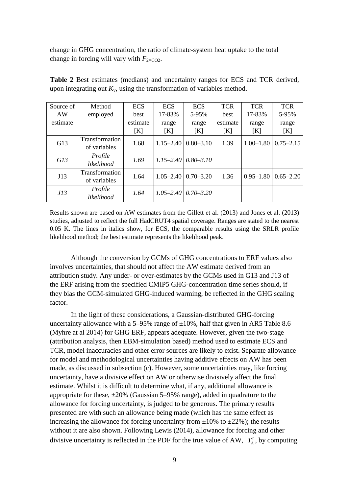change in GHG concentration, the ratio of climate-system heat uptake to the total change in forcing will vary with  $F_{2\times CO2}$ .

| Source of | Method                                | <b>ECS</b> | <b>ECS</b>    | <b>ECS</b>                     | <b>TCR</b> | <b>TCR</b>    | <b>TCR</b>    |
|-----------|---------------------------------------|------------|---------------|--------------------------------|------------|---------------|---------------|
| AW        | employed                              | best       | 17-83%        | 5-95%                          | best       | 17-83%        | 5-95%         |
| estimate  |                                       | estimate   | range         | range                          | estimate   | range         | range         |
|           |                                       | [K]        | [K]           | [K]                            | [K]        | [K]           | [K]           |
| G13       | <b>Transformation</b><br>of variables | 1.68       | $1.15 - 2.40$ | $0.80 - 3.10$                  | 1.39       | $1.00 - 1.80$ | $0.75 - 2.15$ |
| G13       | Profile<br>likelihood                 | 1.69       |               | $1.15 - 2.40 \mid 0.80 - 3.10$ |            |               |               |
| J13       | <b>Transformation</b><br>of variables | 1.64       | $1.05 - 2.40$ | $0.70 - 3.20$                  | 1.36       | $0.95 - 1.80$ | $0.65 - 2.20$ |
| J13       | Profile<br>likelihood                 | 1.64       | $1.05 - 2.40$ | $0.70 - 3.20$                  |            |               |               |

**Table 2** Best estimates (medians) and uncertainty ranges for ECS and TCR derived, upon integrating out  $K_v$ , using the transformation of variables method.

Results shown are based on AW estimates from the Gillett et al. (2013) and Jones et al. (2013) studies, adjusted to reflect the full HadCRUT4 spatial coverage. Ranges are stated to the nearest 0.05 K. The lines in italics show, for ECS, the comparable results using the SRLR profile likelihood method; the best estimate represents the likelihood peak.

Although the conversion by GCMs of GHG concentrations to ERF values also involves uncertainties, that should not affect the AW estimate derived from an attribution study. Any under- or over-estimates by the GCMs used in G13 and J13 of the ERF arising from the specified CMIP5 GHG-concentration time series should, if they bias the GCM-simulated GHG-induced warming, be reflected in the GHG scaling factor.

In the light of these considerations, a Gaussian-distributed GHG-forcing uncertainty allowance with a 5–95% range of  $\pm 10$ %, half that given in AR5 Table 8.6 (Myhre at al 2014) for GHG ERF, appears adequate. However, given the two-stage (attribution analysis, then EBM-simulation based) method used to estimate ECS and TCR, model inaccuracies and other error sources are likely to exist. Separate allowance for model and methodological uncertainties having additive effects on AW has been made, as discussed in subsection (c). However, some uncertainties may, like forcing uncertainty, have a divisive effect on AW or otherwise divisively affect the final estimate. Whilst it is difficult to determine what, if any, additional allowance is appropriate for these,  $\pm 20\%$  (Gaussian 5–95% range), added in quadrature to the allowance for forcing uncertainty, is judged to be generous. The primary results presented are with such an allowance being made (which has the same effect as increasing the allowance for forcing uncertainty from  $\pm 10\%$  to  $\pm 22\%$ ); the results without it are also shown. Following Lewis (2014), allowance for forcing and other divisive uncertainty is reflected in the PDF for the true value of AW,  $T_A^t$  $T_{A}^{t}$ , by computing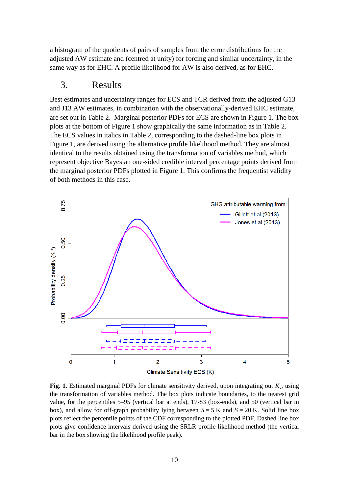a histogram of the quotients of pairs of samples from the error distributions for the adjusted AW estimate and (centred at unity) for forcing and similar uncertainty, in the same way as for EHC. A profile likelihood for AW is also derived, as for EHC.

### 3. Results

Best estimates and uncertainty ranges for ECS and TCR derived from the adjusted G13 and J13 AW estimates, in combination with the observationally-derived EHC estimate, are set out in Table 2. Marginal posterior PDFs for ECS are shown in Figure 1. The box plots at the bottom of Figure 1 show graphically the same information as in Table 2. The ECS values in italics in Table 2, corresponding to the dashed-line box plots in Figure 1, are derived using the alternative profile likelihood method. They are almost identical to the results obtained using the transformation of variables method, which represent objective Bayesian one-sided credible interval percentage points derived from the marginal posterior PDFs plotted in Figure 1. This confirms the frequentist validity of both methods in this case.



**Fig. 1**. Estimated marginal PDFs for climate sensitivity derived, upon integrating out  $K_v$ , using the transformation of variables method. The box plots indicate boundaries, to the nearest grid value, for the percentiles 5–95 (vertical bar at ends), 17-83 (box-ends), and 50 (vertical bar in box), and allow for off-graph probability lying between *S* = 5 K and *S* = 20 K. Solid line box plots reflect the percentile points of the CDF corresponding to the plotted PDF. Dashed line box plots give confidence intervals derived using the SRLR profile likelihood method (the vertical bar in the box showing the likelihood profile peak).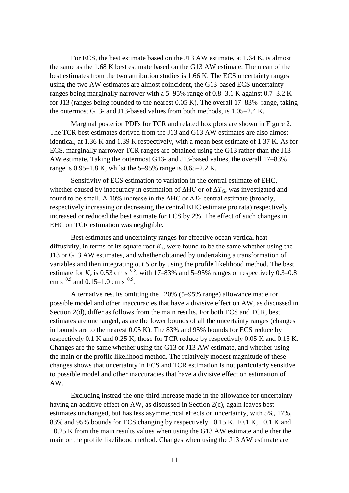For ECS, the best estimate based on the J13 AW estimate, at 1.64 K, is almost the same as the 1.68 K best estimate based on the G13 AW estimate. The mean of the best estimates from the two attribution studies is 1.66 K. The ECS uncertainty ranges using the two AW estimates are almost coincident, the G13-based ECS uncertainty ranges being marginally narrower with a 5–95% range of 0.8–3.1 K against 0.7–3.2 K for J13 (ranges being rounded to the nearest 0.05 K). The overall 17–83% range, taking the outermost G13- and J13-based values from both methods, is 1.05–2.4 K.

Marginal posterior PDFs for TCR and related box plots are shown in Figure 2. The TCR best estimates derived from the J13 and G13 AW estimates are also almost identical, at 1.36 K and 1.39 K respectively, with a mean best estimate of 1.37 K. As for ECS, marginally narrower TCR ranges are obtained using the G13 rather than the J13 AW estimate. Taking the outermost G13- and J13-based values, the overall 17–83% range is 0.95–1.8 K, whilst the 5–95% range is 0.65–2.2 K.

Sensitivity of ECS estimation to variation in the central estimate of EHC, whether caused by inaccuracy in estimation of  $\Delta H C$  or of  $\Delta T_G$ , was investigated and found to be small. A 10% increase in the  $\Delta H C$  or  $\Delta T_G$  central estimate (broadly, respectively increasing or decreasing the central EHC estimate pro rata) respectively increased or reduced the best estimate for ECS by 2%. The effect of such changes in EHC on TCR estimation was negligible.

Best estimates and uncertainty ranges for effective ocean vertical heat diffusivity, in terms of its square root  $K_v$ , were found to be the same whether using the J13 or G13 AW estimates, and whether obtained by undertaking a transformation of variables and then integrating out *S* or by using the profile likelihood method. The best estimate for  $K_v$  is 0.53 cm s<sup>-0.5</sup>, with 17–83% and 5–95% ranges of respectively 0.3–0.8 cm s<sup> $-0.5$ </sup> and 0.15–1.0 cm s<sup> $-0.5$ </sup>.

Alternative results omitting the  $\pm 20\%$  (5–95% range) allowance made for possible model and other inaccuracies that have a divisive effect on AW, as discussed in Section 2(d), differ as follows from the main results. For both ECS and TCR, best estimates are unchanged, as are the lower bounds of all the uncertainty ranges (changes in bounds are to the nearest 0.05 K). The 83% and 95% bounds for ECS reduce by respectively 0.1 K and 0.25 K; those for TCR reduce by respectively 0.05 K and 0.15 K. Changes are the same whether using the G13 or J13 AW estimate, and whether using the main or the profile likelihood method. The relatively modest magnitude of these changes shows that uncertainty in ECS and TCR estimation is not particularly sensitive to possible model and other inaccuracies that have a divisive effect on estimation of AW.

Excluding instead the one-third increase made in the allowance for uncertainty having an additive effect on AW, as discussed in Section 2(c), again leaves best estimates unchanged, but has less asymmetrical effects on uncertainty, with 5%, 17%, 83% and 95% bounds for ECS changing by respectively +0.15 K, +0.1 K, −0.1 K and −0.25 K from the main results values when using the G13 AW estimate and either the main or the profile likelihood method. Changes when using the J13 AW estimate are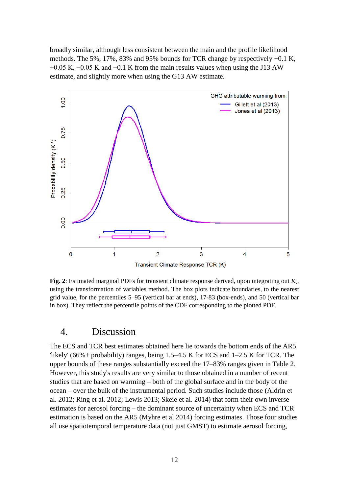broadly similar, although less consistent between the main and the profile likelihood methods. The 5%, 17%, 83% and 95% bounds for TCR change by respectively +0.1 K,  $+0.05$  K,  $-0.05$  K and  $-0.1$  K from the main results values when using the J13 AW estimate, and slightly more when using the G13 AW estimate.



**Fig. 2**: Estimated marginal PDFs for transient climate response derived, upon integrating out *K*v, using the transformation of variables method. The box plots indicate boundaries, to the nearest grid value, for the percentiles 5–95 (vertical bar at ends), 17-83 (box-ends), and 50 (vertical bar in box). They reflect the percentile points of the CDF corresponding to the plotted PDF.

### 4. Discussion

The ECS and TCR best estimates obtained here lie towards the bottom ends of the AR5 'likely' (66%+ probability) ranges, being 1.5–4.5 K for ECS and 1–2.5 K for TCR. The upper bounds of these ranges substantially exceed the 17–83% ranges given in Table 2. However, this study's results are very similar to those obtained in a number of recent studies that are based on warming – both of the global surface and in the body of the ocean – over the bulk of the instrumental period. Such studies include those (Aldrin et al. 2012; Ring et al. 2012; Lewis 2013; Skeie et al. 2014) that form their own inverse estimates for aerosol forcing – the dominant source of uncertainty when ECS and TCR estimation is based on the AR5 (Myhre et al 2014) forcing estimates. Those four studies all use spatiotemporal temperature data (not just GMST) to estimate aerosol forcing,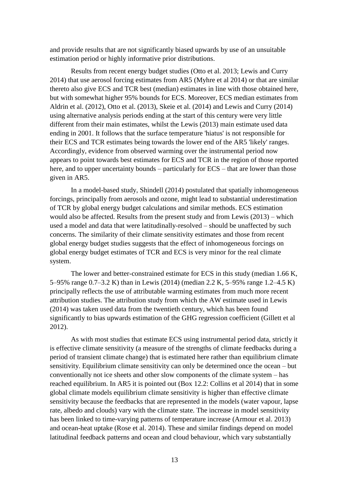and provide results that are not significantly biased upwards by use of an unsuitable estimation period or highly informative prior distributions.

Results from recent energy budget studies (Otto et al. 2013; Lewis and Curry 2014) that use aerosol forcing estimates from AR5 (Myhre et al 2014) or that are similar thereto also give ECS and TCR best (median) estimates in line with those obtained here, but with somewhat higher 95% bounds for ECS. Moreover, ECS median estimates from Aldrin et al. (2012), Otto et al. (2013), Skeie et al. (2014) and Lewis and Curry (2014) using alternative analysis periods ending at the start of this century were very little different from their main estimates, whilst the Lewis (2013) main estimate used data ending in 2001. It follows that the surface temperature 'hiatus' is not responsible for their ECS and TCR estimates being towards the lower end of the AR5 'likely' ranges. Accordingly, evidence from observed warming over the instrumental period now appears to point towards best estimates for ECS and TCR in the region of those reported here, and to upper uncertainty bounds – particularly for ECS – that are lower than those given in AR5.

In a model-based study, Shindell (2014) postulated that spatially inhomogeneous forcings, principally from aerosols and ozone, might lead to substantial underestimation of TCR by global energy budget calculations and similar methods. ECS estimation would also be affected. Results from the present study and from Lewis (2013) – which used a model and data that were latitudinally-resolved – should be unaffected by such concerns. The similarity of their climate sensitivity estimates and those from recent global energy budget studies suggests that the effect of inhomogeneous forcings on global energy budget estimates of TCR and ECS is very minor for the real climate system.

The lower and better-constrained estimate for ECS in this study (median 1.66 K, 5–95% range 0.7–3.2 K) than in Lewis (2014) (median 2.2 K, 5–95% range 1.2–4.5 K) principally reflects the use of attributable warming estimates from much more recent attribution studies. The attribution study from which the AW estimate used in Lewis (2014) was taken used data from the twentieth century, which has been found significantly to bias upwards estimation of the GHG regression coefficient (Gillett et al 2012).

As with most studies that estimate ECS using instrumental period data, strictly it is effective climate sensitivity (a measure of the strengths of climate feedbacks during a period of transient climate change) that is estimated here rather than equilibrium climate sensitivity. Equilibrium climate sensitivity can only be determined once the ocean – but conventionally not ice sheets and other slow components of the climate system – has reached equilibrium. In AR5 it is pointed out (Box 12.2: Collins et al 2014) that in some global climate models equilibrium climate sensitivity is higher than effective climate sensitivity because the feedbacks that are represented in the models (water vapour, lapse rate, albedo and clouds) vary with the climate state. The increase in model sensitivity has been linked to time-varying patterns of temperature increase (Armour et al. 2013) and ocean-heat uptake (Rose et al. 2014). These and similar findings depend on model latitudinal feedback patterns and ocean and cloud behaviour, which vary substantially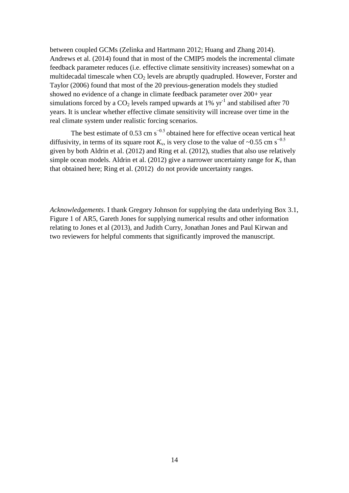between coupled GCMs (Zelinka and Hartmann 2012; Huang and Zhang 2014). Andrews et al. (2014) found that in most of the CMIP5 models the incremental climate feedback parameter reduces (i.e. effective climate sensitivity increases) somewhat on a multidecadal timescale when  $CO<sub>2</sub>$  levels are abruptly quadrupled. However, Forster and Taylor (2006) found that most of the 20 previous-generation models they studied showed no evidence of a change in climate feedback parameter over 200+ year simulations forced by a  $CO_2$  levels ramped upwards at 1%  $yr^{-1}$  and stabilised after 70 years. It is unclear whether effective climate sensitivity will increase over time in the real climate system under realistic forcing scenarios.

The best estimate of 0.53 cm  $s^{-0.5}$  obtained here for effective ocean vertical heat diffusivity, in terms of its square root  $K_v$ , is very close to the value of ~0.55 cm s<sup>-0.5</sup> given by both Aldrin et al. (2012) and Ring et al. (2012), studies that also use relatively simple ocean models. Aldrin et al. (2012) give a narrower uncertainty range for  $K_v$  than that obtained here; Ring et al. (2012) do not provide uncertainty ranges.

*Acknowledgements*. I thank Gregory Johnson for supplying the data underlying Box 3.1, Figure 1 of AR5, Gareth Jones for supplying numerical results and other information relating to Jones et al (2013), and Judith Curry, Jonathan Jones and Paul Kirwan and two reviewers for helpful comments that significantly improved the manuscript.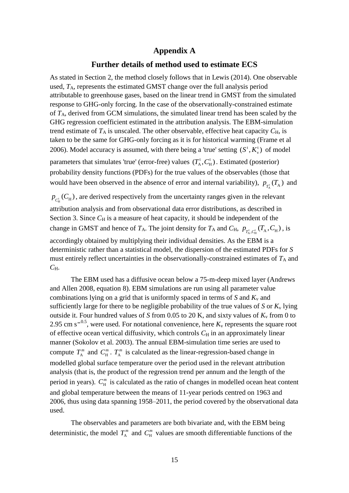### **Appendix A**

#### **Further details of method used to estimate ECS**

As stated in Section 2, the method closely follows that in Lewis (2014). One observable used, *T*A, represents the estimated GMST change over the full analysis period attributable to greenhouse gases, based on the linear trend in GMST from the simulated response to GHG-only forcing. In the case of the observationally-constrained estimate of *T*A, derived from GCM simulations, the simulated linear trend has been scaled by the GHG regression coefficient estimated in the attribution analysis. The EBM-simulation trend estimate of  $T_A$  is unscaled. The other observable, effective heat capacity  $C_H$ , is taken to be the same for GHG-only forcing as it is for historical warming (Frame et al 2006). Model accuracy is assumed, with there being a 'true' setting  $(S^{\tau}, K^{\tau})$  $(S^{\tau}, K^{\tau}_{\nu})$  of model parameters that simulates 'true' (error-free) values  $(T_A^t, C_H^t)$ . Estimated (posterior) probability density functions (PDFs) for the true values of the observables (those that would have been observed in the absence of error and internal variability),  $p_{T_A^t}(T_A)$  and

 $p_{C<sub>H</sub><sup>t</sup>}(C<sub>H</sub>)$ , are derived respectively from the uncertainty ranges given in the relevant attribution analysis and from observational data error distributions, as described in Section 3. Since  $C_H$  is a measure of heat capacity, it should be independent of the change in GMST and hence of  $T_A$ . The joint density for  $T_A$  and  $C_H$ ,  $p_{T_A^t, C_H^t}(T_A, C_H)$ , is accordingly obtained by multiplying their individual densities. As the EBM is a deterministic rather than a statistical model, the dispersion of the estimated PDFs for *S* must entirely reflect uncertainties in the observationally-constrained estimates of  $T_A$  and  $C_{\rm H}$ .

The EBM used has a diffusive ocean below a 75-m-deep mixed layer (Andrews and Allen 2008, equation 8). EBM simulations are run using all parameter value combinations lying on a grid that is uniformly spaced in terms of  $S$  and  $K_v$  and sufficiently large for there to be negligible probability of the true values of  $S$  or  $K_v$  lying outside it. Four hundred values of *S* from 0.05 to 20 K, and sixty values of  $K_v$  from 0 to 2.95 cm  $s^{-0.5}$ , were used. For notational convenience, here  $K_v$  represents the square root of effective ocean vertical diffusivity, which controls  $C_H$  in an approximately linear manner (Sokolov et al. 2003). The annual EBM-simulation time series are used to compute  $T_A^*$  $T_A^m$  and  $C_H^m$ .  $T_A^m$  is calculated as the linear-regression-based change in modelled global surface temperature over the period used in the relevant attribution analysis (that is, the product of the regression trend per annum and the length of the period in years).  $C_{\text{H}}^{m}$  is calculated as the ratio of changes in modelled ocean heat content and global temperature between the means of 11-year periods centred on 1963 and 2006, thus using data spanning 1958–2011, the period covered by the observational data used.

The observables and parameters are both bivariate and, with the EBM being deterministic, the model  $T_A^*$  $T_A^m$  and  $C_H^m$  values are smooth differentiable functions of the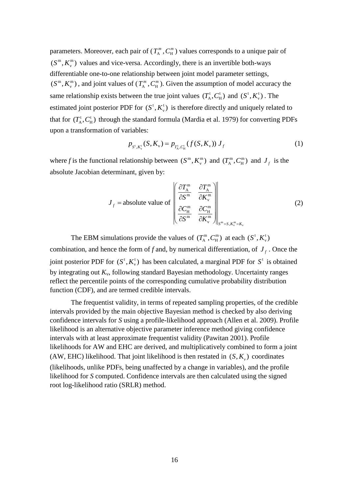parameters. Moreover, each pair of  $(T_A^n)$  $T_A^m$ ,  $C_H^m$ ) values corresponds to a unique pair of  $m \nabla m$  $(S^m, K_v^m)$  values and vice-versa. Accordingly, there is an invertible both-ways differentiable one-to-one relationship between joint model parameter settings,  $m \nabla m$  $(S^m, K_v^m)$ , and joint values of  $(T_A^m)$  $T_{\text{A}}^{m}$ ,  $C_{\text{H}}^{m}$ ). Given the assumption of model accuracy the same relationship exists between the true joint values  $(T_A^t, C_H^t)$  and  $(S^t, K_h^t)$  $(S^{\tau}, K_{\nu}^{\tau})$ . The estimated joint posterior PDF for  $(S^t, K_v^t)$  $(S^{\tau}, K_{\nu}^{\tau})$  is therefore directly and uniquely related to that for  $(T_A^t, C_H^t)$  through the standard formula (Mardia et al. 1979) for converting PDFs upon a transformation of variables:

$$
p_{S^t, K_v^t}(S, K_v) = p_{T_A^t, C_H^t}(f(S, K_v)) J_f
$$
 (1)

where f is the functional relationship between  $(S^m, K_v^m)$  $(S^m, K_v^m)$  and  $(T_A^m, C_H^m)$  and  $J_f$  is the absolute Jacobian determinant, given by:

terminal, given by:

\n
$$
J_{f} = \text{absolute value of} \begin{bmatrix} \frac{\partial T_{A}^{m}}{\partial S^{m}} & \frac{\partial T_{A}^{m}}{\partial K_{v}^{m}} \\ \frac{\partial C_{H}^{m}}{\partial S^{m}} & \frac{\partial C_{H}^{m}}{\partial K_{v}^{m}} \end{bmatrix}_{S^{m} = S, K_{v}^{m} = K_{v}} \tag{2}
$$

The EBM simulations provide the values of  $(T_{\rm A}^{\rm m}, C_{\rm H}^{\rm m})$  at each  $(S^{\rm t}, K_{\rm t}^{\rm t})$  $(S^{\mathfrak{t}}, K^{\mathfrak{t}}_{\mathfrak{y}})$ combination, and hence the form of *f* and, by numerical differentiation, of  $J_f$ . Once the joint posterior PDF for  $(S^t, K_s^t)$  $(S^t, K_v^t)$  has been calculated, a marginal PDF for  $S^t$  is obtained by integrating out *K*v, following standard Bayesian methodology. Uncertainty ranges reflect the percentile points of the corresponding cumulative probability distribution function (CDF), and are termed credible intervals.

The frequentist validity, in terms of repeated sampling properties, of the credible intervals provided by the main objective Bayesian method is checked by also deriving confidence intervals for *S* using a profile-likelihood approach (Allen et al. 2009). Profile likelihood is an alternative objective parameter inference method giving confidence intervals with at least approximate frequentist validity (Pawitan 2001). Profile likelihoods for AW and EHC are derived, and multiplicatively combined to form a joint (AW, EHC) likelihood. That joint likelihood is then restated in  $(S, K)$  coordinates (likelihoods, unlike PDFs, being unaffected by a change in variables), and the profile likelihood for *S* computed. Confidence intervals are then calculated using the signed root log-likelihood ratio (SRLR) method.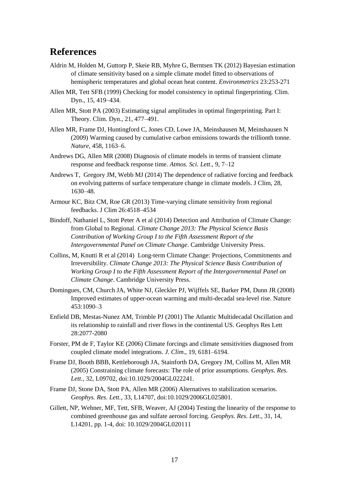## **References**

- Aldrin M, Holden M, Guttorp P, Skeie RB, Myhre G, Berntsen TK (2012) Bayesian estimation of climate sensitivity based on a simple climate model fitted to observations of hemispheric temperatures and global ocean heat content. *Environmetrics* 23:253-271
- Allen MR, Tett SFB (1999) Checking for model consistency in optimal fingerprinting. Clim. Dyn., 15, 419–434.
- Allen MR, Stott PA (2003) Estimating signal amplitudes in optimal fingerprinting. Part I: Theory. Clim. Dyn., 21, 477–491.
- Allen MR, Frame DJ, Huntingford C, Jones CD, Lowe JA, Meinshausen M, Meinshausen N (2009) Warming caused by cumulative carbon emissions towards the trillionth tonne. *Nature,* 458, 1163–6.
- Andrews DG, Allen MR (2008) Diagnosis of climate models in terms of transient climate response and feedback response time. *Atmos. Sci. Lett*., 9, 7–12
- Andrews T, Gregory JM, Webb MJ (2014) The dependence of radiative forcing and feedback on evolving patterns of surface temperature change in climate models. J Clim, 28, 1630–48.
- Armour KC, Bitz CM, Roe GR (2013) Time-varying climate sensitivity from regional feedbacks. J Clim 26:4518–4534
- Bindoff, Nathaniel L, Stott Peter A et al (2014) Detection and Attribution of Climate Change: from Global to Regional. *Climate Change 2013: The Physical Science Basis Contribution of Working Group I to the Fifth Assessment Report of the Intergovernmental Panel on Climate Change*. Cambridge University Press.
- Collins, M, Knutti R et al (2014) Long-term Climate Change: Projections, Commitments and Irreversibility. *Climate Change 2013: The Physical Science Basis Contribution of Working Group I to the Fifth Assessment Report of the Intergovernmental Panel on Climate Change*. Cambridge University Press.
- Domingues, CM, Church JA, White NJ, Gleckler PJ, Wijffels SE, Barker PM, Dunn JR (2008) Improved estimates of upper-ocean warming and multi-decadal sea-level rise. Nature 453:1090–3
- Enfield DB, Mestas-Nunez AM, Trimble PJ (2001) The Atlantic Multidecadal Oscillation and its relationship to rainfall and river flows in the continental US. Geophys Res Lett 28:2077-2080
- Forster, PM de F, Taylor KE (2006) Climate forcings and climate sensitivities diagnosed from coupled climate model integrations. *J. Clim*., 19, 6181–6194.
- Frame DJ, Booth BBB, Kettleborough JA, Stainforth DA, Gregory JM, Collins M, Allen MR (2005) Constraining climate forecasts: The role of prior assumptions. *Geophys. Res. Lett.*, 32, L09702, doi:10.1029/2004GL022241.
- Frame DJ, Stone DA, Stott PA, Allen MR (2006) Alternatives to stabilization scenarios. *Geophys. Res. Lett.*, 33, L14707, doi:10.1029/2006GL025801.
- Gillett, NP, Wehner, MF, Tett, SFB, Weaver, AJ (2004) Testing the linearity of the response to combined greenhouse gas and sulfate aerosol forcing. *Geophys. Res. Lett*., 31, 14, L14201, pp. 1-4, doi: 10.1029/2004GL020111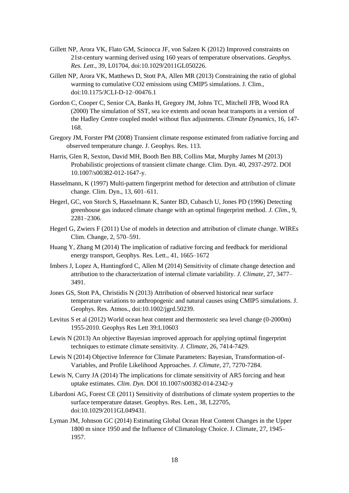- Gillett NP, Arora VK, Flato GM, Scinocca JF, von Salzen K (2012) Improved constraints on 21st-century warming derived using 160 years of temperature observations. *Geophys. Res. Lett*., 39, L01704, doi:10.1029/2011GL050226.
- Gillett NP, Arora VK, Matthews D, Stott PA, Allen MR (2013) Constraining the ratio of global warming to cumulative CO2 emissions using CMIP5 simulations. J. Clim., doi:10.1175/JCLI-D-12–00476.1
- Gordon C, Cooper C, Senior CA, Banks H, Gregory JM, Johns TC, Mitchell JFB, Wood RA (2000) The simulation of SST, sea ice extents and ocean heat transports in a version of the Hadley Centre coupled model without flux adjustments. *Climate Dynamics*, 16, 147- 168.
- Gregory JM, Forster PM (2008) Transient climate response estimated from radiative forcing and observed temperature change. J. Geophys. Res. 113.
- Harris, Glen R, Sexton, David MH, Booth Ben BB, Collins Mat, Murphy James M (2013) Probabilistic projections of transient climate change. Clim. Dyn. 40, 2937-2972. DOI 10.1007/s00382-012-1647-y.
- Hasselmann, K (1997) Multi-pattern fingerprint method for detection and attribution of climate change. Clim. Dyn., 13, 601–611.
- Hegerl, GC, von Storch S, Hasselmann K, Santer BD, Cubasch U, Jones PD (1996) Detecting greenhouse gas induced climate change with an optimal fingerprint method. *J. Clim*., 9, 2281–2306.
- Hegerl G, Zwiers F (2011) Use of models in detection and attribution of climate change. WIREs Clim. Change, 2, 570–591.
- Huang Y, Zhang M (2014) The implication of radiative forcing and feedback for meridional energy transport, Geophys. Res. Lett., 41, 1665–1672
- Imbers J, Lopez A, Huntingford C, Allen M (2014) Sensitivity of climate change detection and attribution to the characterization of internal climate variability. *J. Climate*, 27, 3477– 3491.
- Jones GS, Stott PA, Christidis N (2013) Attribution of observed historical near surface temperature variations to anthropogenic and natural causes using CMIP5 simulations. J. Geophys. Res. Atmos., doi:10.1002/jgrd.50239.
- Levitus S et al (2012) World ocean heat content and thermosteric sea level change (0-2000m) 1955-2010. Geophys Res Lett 39:L10603
- Lewis N (2013) An objective Bayesian improved approach for applying optimal fingerprint techniques to estimate climate sensitivity. *J. Climate*, 26, 7414-7429.
- Lewis N (2014) Objective Inference for Climate Parameters: Bayesian, Transformation-of-Variables, and Profile Likelihood Approaches. *J. Climate*, 27, 7270-7284.
- Lewis N, Curry JA (2014) The implications for climate sensitivity of AR5 forcing and heat uptake estimates. *Clim. Dyn.* DOI 10.1007/s00382-014-2342-y
- Libardoni AG, Forest CE (2011) Sensitivity of distributions of climate system properties to the surface temperature dataset. Geophys. Res. Lett., 38, L22705, doi:10.1029/2011GL049431.
- Lyman JM, Johnson GC (2014) Estimating Global Ocean Heat Content Changes in the Upper 1800 m since 1950 and the Influence of Climatology Choice. J. Climate, 27, 1945– 1957.